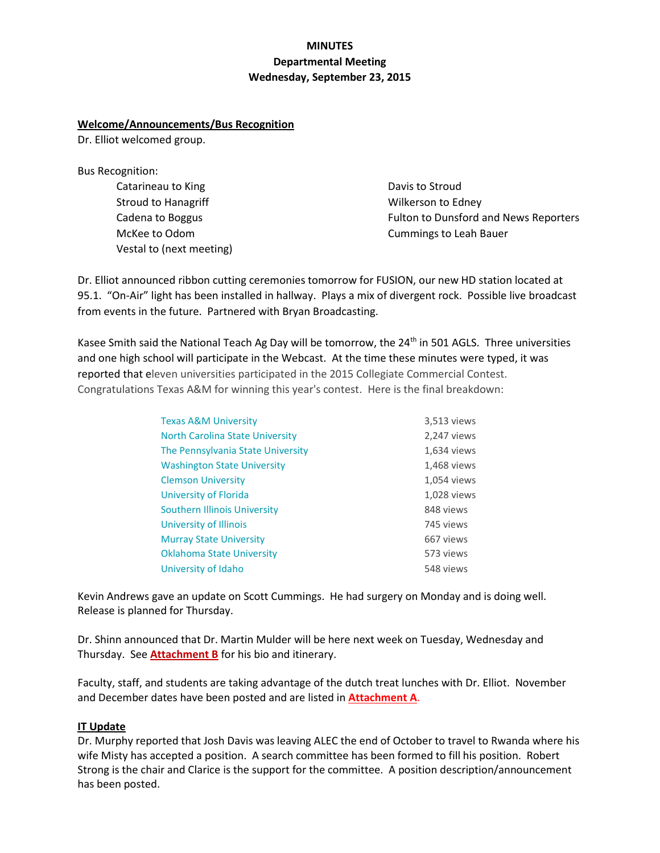# **MINUTES Departmental Meeting Wednesday, September 23, 2015**

### **Welcome/Announcements/Bus Recognition**

Dr. Elliot welcomed group.

Bus Recognition:

Catarineau to King Stroud to Hanagriff Cadena to Boggus McKee to Odom Vestal to (next meeting)

Davis to Stroud Wilkerson to Edney Fulton to Dunsford and News Reporters Cummings to Leah Bauer

Dr. Elliot announced ribbon cutting ceremonies tomorrow for FUSION, our new HD station located at 95.1. "On-Air" light has been installed in hallway. Plays a mix of divergent rock. Possible live broadcast from events in the future. Partnered with Bryan Broadcasting.

Kasee Smith said the National Teach Ag Day will be tomorrow, the  $24<sup>th</sup>$  in 501 AGLS. Three universities and one high school will participate in the Webcast. At the time these minutes were typed, it was reported that eleven universities participated in the 2015 Collegiate Commercial Contest. Congratulations Texas A&M for winning this year's contest. Here is the final breakdown:

| <b>Texas A&amp;M University</b>        | 3,513 views |
|----------------------------------------|-------------|
| <b>North Carolina State University</b> | 2,247 views |
| The Pennsylvania State University      | 1,634 views |
| <b>Washington State University</b>     | 1,468 views |
| <b>Clemson University</b>              | 1,054 views |
| University of Florida                  | 1,028 views |
| Southern Illinois University           | 848 views   |
| University of Illinois                 | 745 views   |
| <b>Murray State University</b>         | 667 views   |
| <b>Oklahoma State University</b>       | 573 views   |
| University of Idaho                    | 548 views   |

Kevin Andrews gave an update on Scott Cummings. He had surgery on Monday and is doing well. Release is planned for Thursday.

Dr. Shinn announced that Dr. Martin Mulder will be here next week on Tuesday, Wednesday and Thursday. See **Attachment B** for his bio and itinerary.

Faculty, staff, and students are taking advantage of the dutch treat lunches with Dr. Elliot. November and December dates have been posted and are listed in **Attachment A**.

# **IT Update**

Dr. Murphy reported that Josh Davis was leaving ALEC the end of October to travel to Rwanda where his wife Misty has accepted a position. A search committee has been formed to fill his position. Robert Strong is the chair and Clarice is the support for the committee. A position description/announcement has been posted.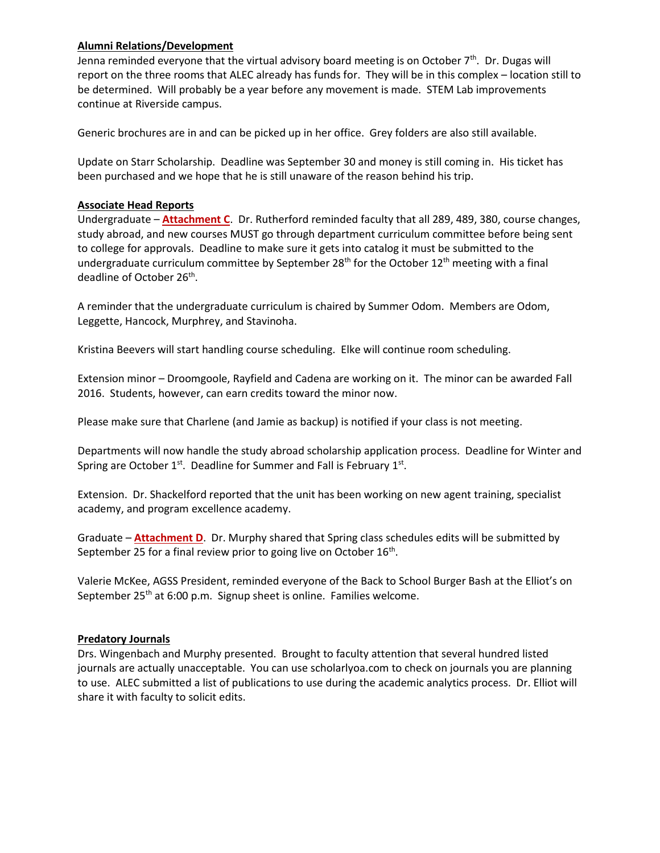### **Alumni Relations/Development**

Jenna reminded everyone that the virtual advisory board meeting is on October  $7<sup>th</sup>$ . Dr. Dugas will report on the three rooms that ALEC already has funds for. They will be in this complex – location still to be determined. Will probably be a year before any movement is made. STEM Lab improvements continue at Riverside campus.

Generic brochures are in and can be picked up in her office. Grey folders are also still available.

Update on Starr Scholarship. Deadline was September 30 and money is still coming in. His ticket has been purchased and we hope that he is still unaware of the reason behind his trip.

### **Associate Head Reports**

Undergraduate – **Attachment C**. Dr. Rutherford reminded faculty that all 289, 489, 380, course changes, study abroad, and new courses MUST go through department curriculum committee before being sent to college for approvals. Deadline to make sure it gets into catalog it must be submitted to the undergraduate curriculum committee by September  $28<sup>th</sup>$  for the October  $12<sup>th</sup>$  meeting with a final deadline of October 26<sup>th</sup>.

A reminder that the undergraduate curriculum is chaired by Summer Odom. Members are Odom, Leggette, Hancock, Murphrey, and Stavinoha.

Kristina Beevers will start handling course scheduling. Elke will continue room scheduling.

Extension minor – Droomgoole, Rayfield and Cadena are working on it. The minor can be awarded Fall 2016. Students, however, can earn credits toward the minor now.

Please make sure that Charlene (and Jamie as backup) is notified if your class is not meeting.

Departments will now handle the study abroad scholarship application process. Deadline for Winter and Spring are October  $1^{st}$ . Deadline for Summer and Fall is February  $1^{st}$ .

Extension. Dr. Shackelford reported that the unit has been working on new agent training, specialist academy, and program excellence academy.

Graduate – **Attachment D**. Dr. Murphy shared that Spring class schedules edits will be submitted by September 25 for a final review prior to going live on October 16<sup>th</sup>.

Valerie McKee, AGSS President, reminded everyone of the Back to School Burger Bash at the Elliot's on September 25<sup>th</sup> at 6:00 p.m. Signup sheet is online. Families welcome.

### **Predatory Journals**

Drs. Wingenbach and Murphy presented. Brought to faculty attention that several hundred listed journals are actually unacceptable. You can use scholarlyoa.com to check on journals you are planning to use. ALEC submitted a list of publications to use during the academic analytics process. Dr. Elliot will share it with faculty to solicit edits.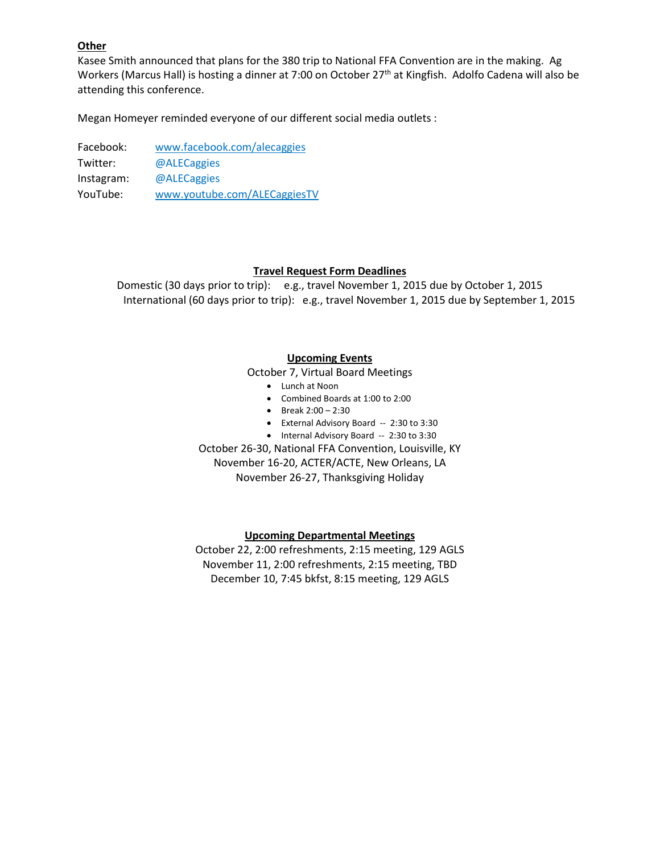### **Other**

Kasee Smith announced that plans for the 380 trip to National FFA Convention are in the making. Ag Workers (Marcus Hall) is hosting a dinner at 7:00 on October 27<sup>th</sup> at Kingfish. Adolfo Cadena will also be attending this conference.

Megan Homeyer reminded everyone of our different social media outlets :

Facebook: [www.facebook.com/alecaggies](http://www.facebook.com/alecaggies) Twitter: @ALECaggies Instagram: @ALECaggies YouTube: [www.youtube.com/ALECaggiesTV](http://www.youtube.com/ALECaggiesTV)

#### **Travel Request Form Deadlines**

Domestic (30 days prior to trip): e.g., travel November 1, 2015 due by October 1, 2015 International (60 days prior to trip): e.g., travel November 1, 2015 due by September 1, 2015

### **Upcoming Events**

October 7, Virtual Board Meetings

- Lunch at Noon
- Combined Boards at 1:00 to 2:00
- $\bullet$  Break 2:00 2:30
- External Advisory Board -- 2:30 to 3:30
- Internal Advisory Board -- 2:30 to 3:30

October 26-30, National FFA Convention, Louisville, KY November 16-20, ACTER/ACTE, New Orleans, LA November 26-27, Thanksgiving Holiday

#### **Upcoming Departmental Meetings**

October 22, 2:00 refreshments, 2:15 meeting, 129 AGLS November 11, 2:00 refreshments, 2:15 meeting, TBD December 10, 7:45 bkfst, 8:15 meeting, 129 AGLS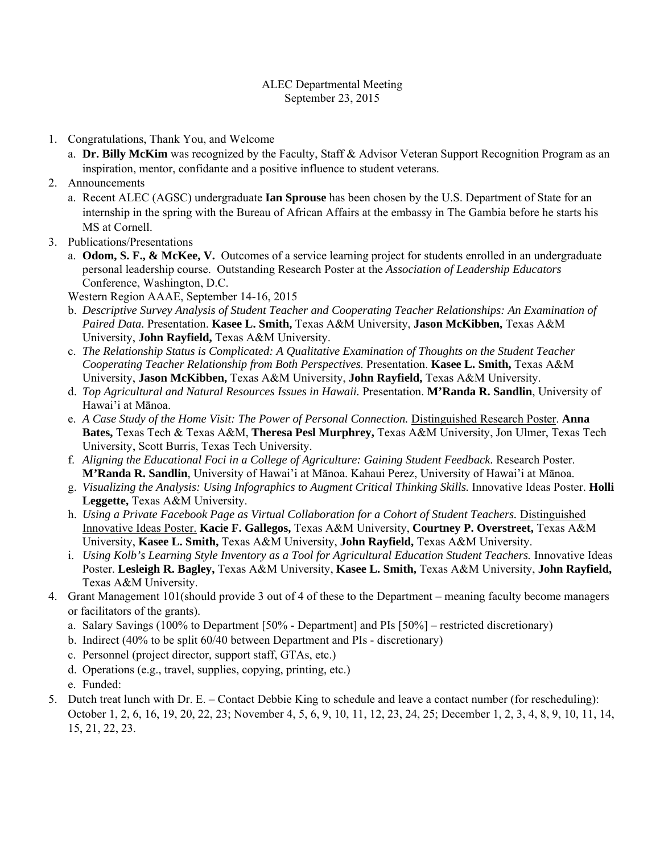### ALEC Departmental Meeting September 23, 2015

- 1. Congratulations, Thank You, and Welcome
	- a. **Dr. Billy McKim** was recognized by the Faculty, Staff & Advisor Veteran Support Recognition Program as an inspiration, mentor, confidante and a positive influence to student veterans.
- 2. Announcements
	- a. Recent ALEC (AGSC) undergraduate **Ian Sprouse** has been chosen by the U.S. Department of State for an internship in the spring with the Bureau of African Affairs at the embassy in The Gambia before he starts his MS at Cornell.
- 3. Publications/Presentations
	- a. **Odom, S. F., & McKee, V.** Outcomes of a service learning project for students enrolled in an undergraduate personal leadership course. Outstanding Research Poster at the *Association of Leadership Educators* Conference, Washington, D.C.

Western Region AAAE, September 14-16, 2015

- b. *Descriptive Survey Analysis of Student Teacher and Cooperating Teacher Relationships: An Examination of Paired Data.* Presentation. **Kasee L. Smith,** Texas A&M University, **Jason McKibben,** Texas A&M University, **John Rayfield,** Texas A&M University.
- c. *The Relationship Status is Complicated: A Qualitative Examination of Thoughts on the Student Teacher Cooperating Teacher Relationship from Both Perspectives.* Presentation. **Kasee L. Smith,** Texas A&M University, **Jason McKibben,** Texas A&M University, **John Rayfield,** Texas A&M University.
- d. *Top Agricultural and Natural Resources Issues in Hawaii.* Presentation. **M'Randa R. Sandlin**, University of Hawai'i at Mānoa.
- e. *A Case Study of the Home Visit: The Power of Personal Connection.* Distinguished Research Poster. **Anna Bates,** Texas Tech & Texas A&M, **Theresa Pesl Murphrey,** Texas A&M University, Jon Ulmer, Texas Tech University, Scott Burris, Texas Tech University.
- f. *Aligning the Educational Foci in a College of Agriculture: Gaining Student Feedback.* Research Poster. **M'Randa R. Sandlin**, University of Hawai'i at Mānoa. Kahaui Perez, University of Hawai'i at Mānoa.
- g. *Visualizing the Analysis: Using Infographics to Augment Critical Thinking Skills.* Innovative Ideas Poster. **Holli Leggette,** Texas A&M University.
- h. *Using a Private Facebook Page as Virtual Collaboration for a Cohort of Student Teachers.* Distinguished Innovative Ideas Poster. **Kacie F. Gallegos,** Texas A&M University, **Courtney P. Overstreet,** Texas A&M University, **Kasee L. Smith,** Texas A&M University, **John Rayfield,** Texas A&M University.
- i. *Using Kolb's Learning Style Inventory as a Tool for Agricultural Education Student Teachers.* Innovative Ideas Poster. **Lesleigh R. Bagley,** Texas A&M University, **Kasee L. Smith,** Texas A&M University, **John Rayfield,** Texas A&M University.
- 4. Grant Management 101(should provide 3 out of 4 of these to the Department meaning faculty become managers or facilitators of the grants).
	- a. Salary Savings (100% to Department [50% Department] and PIs [50%] restricted discretionary)
	- b. Indirect (40% to be split 60/40 between Department and PIs discretionary)
	- c. Personnel (project director, support staff, GTAs, etc.)
	- d. Operations (e.g., travel, supplies, copying, printing, etc.)
	- e. Funded:
- 5. Dutch treat lunch with Dr. E. Contact Debbie King to schedule and leave a contact number (for rescheduling): October 1, 2, 6, 16, 19, 20, 22, 23; November 4, 5, 6, 9, 10, 11, 12, 23, 24, 25; December 1, 2, 3, 4, 8, 9, 10, 11, 14, 15, 21, 22, 23.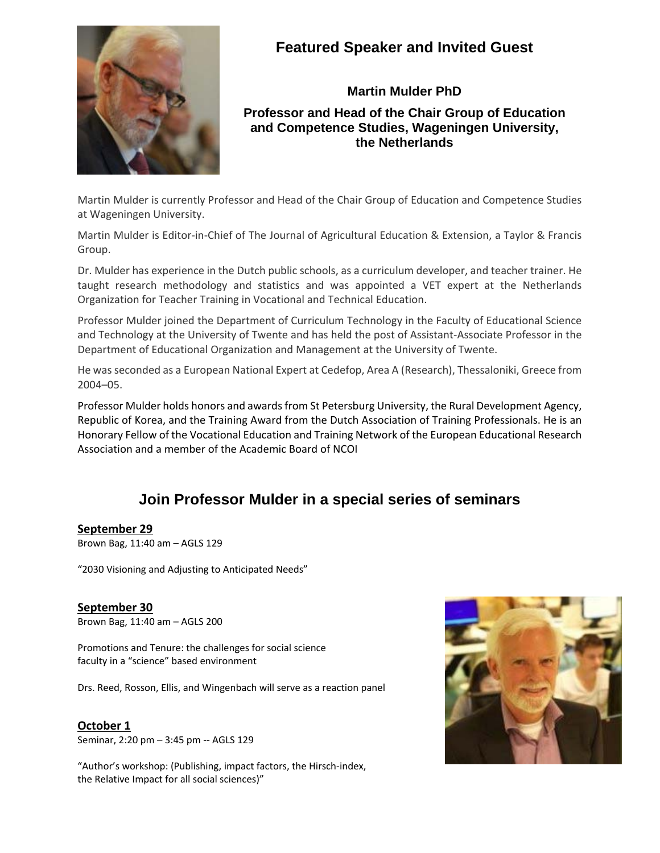

# **Featured Speaker and Invited Guest**

# **Martin Mulder PhD Professor and Head of the Chair Group of Education and Competence Studies, Wageningen University, the Netherlands**

Martin Mulder is currently Professor and Head of the Chair Group of Education and Competence Studies at Wageningen University.

Martin Mulder is Editor-in-Chief of The Journal of Agricultural Education & Extension, a Taylor & Francis Group.

Dr. Mulder has experience in the Dutch public schools, as a curriculum developer, and teacher trainer. He taught research methodology and statistics and was appointed a VET expert at the Netherlands Organization for Teacher Training in Vocational and Technical Education.

Professor Mulder joined the Department of Curriculum Technology in the Faculty of Educational Science and Technology at the University of Twente and has held the post of Assistant‐Associate Professor in the Department of Educational Organization and Management at the University of Twente.

He was seconded as a European National Expert at Cedefop, Area A (Research), Thessaloniki, Greece from 2004–05.

Professor Mulder holds honors and awardsfrom St Petersburg University, the Rural Development Agency, Republic of Korea, and the Training Award from the Dutch Association of Training Professionals. He is an Honorary Fellow of the Vocational Education and Training Network of the European Educational Research Association and a member of the Academic Board of NCOI

# **Join Professor Mulder in a special series of seminars**

# **September 29**

Brown Bag, 11:40 am – AGLS 129

"2030 Visioning and Adjusting to Anticipated Needs"

# **September 30**

Brown Bag, 11:40 am – AGLS 200

Promotions and Tenure: the challenges for social science faculty in a "science" based environment

Drs. Reed, Rosson, Ellis, and Wingenbach will serve as a reaction panel

# **October 1**

Seminar, 2:20 pm – 3:45 pm ‐‐ AGLS 129

"Author's workshop: (Publishing, impact factors, the Hirsch‐index, the Relative Impact for all social sciences)"

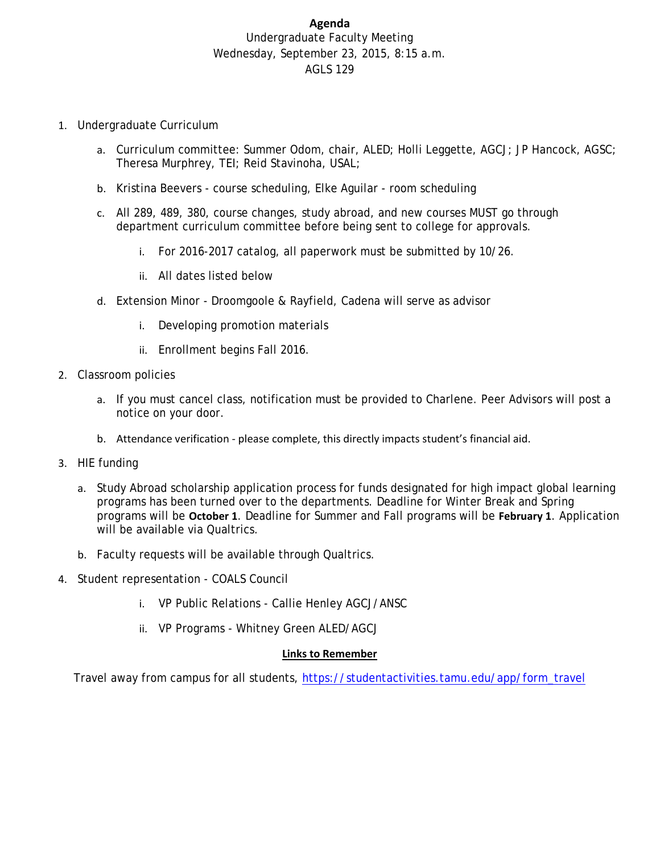# **Agenda** Undergraduate Faculty Meeting Wednesday, September 23, 2015, 8:15 a.m. AGLS 129

- 1. Undergraduate Curriculum
	- a. Curriculum committee: Summer Odom, chair, ALED; Holli Leggette, AGCJ; JP Hancock, AGSC; Theresa Murphrey, TEI; Reid Stavinoha, USAL;
	- b. Kristina Beevers course scheduling, Elke Aguilar room scheduling
	- c. All 289, 489, 380, course changes, study abroad, and new courses MUST go through department curriculum committee before being sent to college for approvals.
		- i. For 2016-2017 catalog, all paperwork must be submitted by 10/26.
		- ii. All dates listed below
	- d. Extension Minor Droomgoole & Rayfield, Cadena will serve as advisor
		- i. Developing promotion materials
		- ii. Enrollment begins Fall 2016.
- 2. Classroom policies
	- a. If you must cancel class, notification must be provided to Charlene. Peer Advisors will post a notice on your door.
	- b. Attendance verification ‐ please complete, this directly impacts student's financial aid.
- 3. HIE funding
	- a. Study Abroad scholarship application process for funds designated for high impact global learning programs has been turned over to the departments. Deadline for Winter Break and Spring programs will be **October 1**. Deadline for Summer and Fall programs will be **February 1**. Application will be available via Qualtrics.
	- b. Faculty requests will be available through Qualtrics.
- 4. Student representation COALS Council
	- i. VP Public Relations Callie Henley AGCJ/ANSC
	- ii. VP Programs Whitney Green ALED/AGCJ

#### **Links to Remember**

Travel away from campus for all students, https://studentactivities.tamu.edu/app/form\_travel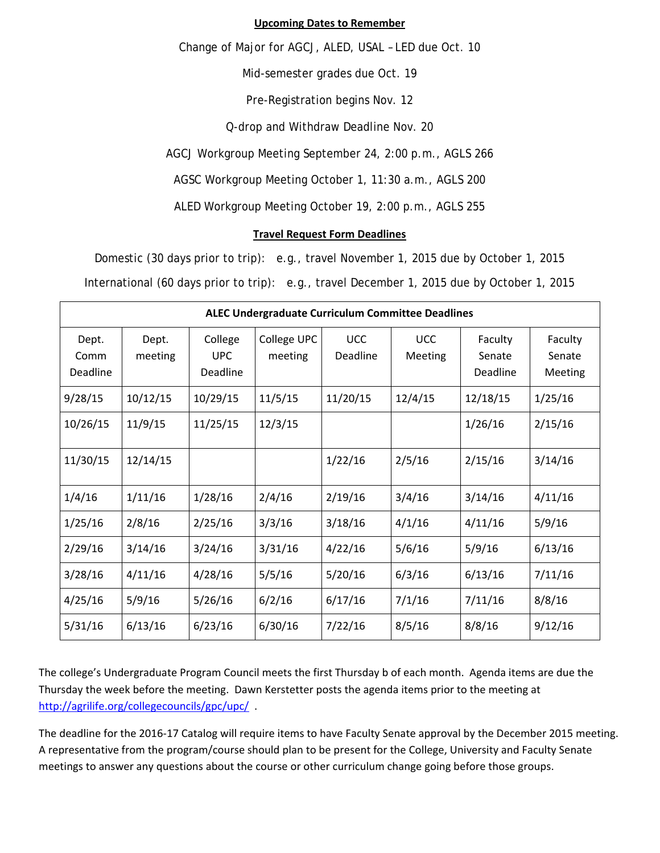### **Upcoming Dates to Remember**

Change of Major for AGCJ, ALED, USAL – LED due Oct. 10

Mid-semester grades due Oct. 19

Pre-Registration begins Nov. 12

Q-drop and Withdraw Deadline Nov. 20

AGCJ Workgroup Meeting September 24, 2:00 p.m., AGLS 266

AGSC Workgroup Meeting October 1, 11:30 a.m., AGLS 200

ALED Workgroup Meeting October 19, 2:00 p.m., AGLS 255

### **Travel Request Form Deadlines**

Domestic (30 days prior to trip): e.g., travel November 1, 2015 due by October 1, 2015

International (60 days prior to trip): e.g., travel December 1, 2015 due by October 1, 2015

| <b>ALEC Undergraduate Curriculum Committee Deadlines</b> |                  |                                   |                        |                        |                       |                               |                              |  |
|----------------------------------------------------------|------------------|-----------------------------------|------------------------|------------------------|-----------------------|-------------------------------|------------------------------|--|
| Dept.<br>Comm<br>Deadline                                | Dept.<br>meeting | College<br><b>UPC</b><br>Deadline | College UPC<br>meeting | <b>UCC</b><br>Deadline | <b>UCC</b><br>Meeting | Faculty<br>Senate<br>Deadline | Faculty<br>Senate<br>Meeting |  |
| 9/28/15                                                  | 10/12/15         | 10/29/15                          | 11/5/15                | 11/20/15               | 12/4/15               | 12/18/15                      | 1/25/16                      |  |
| 10/26/15                                                 | 11/9/15          | 11/25/15                          | 12/3/15                |                        |                       | 1/26/16                       | 2/15/16                      |  |
| 11/30/15                                                 | 12/14/15         |                                   |                        | 1/22/16                | 2/5/16                | 2/15/16                       | 3/14/16                      |  |
| 1/4/16                                                   | 1/11/16          | 1/28/16                           | 2/4/16                 | 2/19/16                | 3/4/16                | 3/14/16                       | 4/11/16                      |  |
| 1/25/16                                                  | 2/8/16           | 2/25/16                           | 3/3/16                 | 3/18/16                | 4/1/16                | 4/11/16                       | 5/9/16                       |  |
| 2/29/16                                                  | 3/14/16          | 3/24/16                           | 3/31/16                | 4/22/16                | 5/6/16                | 5/9/16                        | 6/13/16                      |  |
| 3/28/16                                                  | 4/11/16          | 4/28/16                           | 5/5/16                 | 5/20/16                | 6/3/16                | 6/13/16                       | 7/11/16                      |  |
| 4/25/16                                                  | 5/9/16           | 5/26/16                           | 6/2/16                 | 6/17/16                | 7/1/16                | 7/11/16                       | 8/8/16                       |  |
| 5/31/16                                                  | 6/13/16          | 6/23/16                           | 6/30/16                | 7/22/16                | 8/5/16                | 8/8/16                        | 9/12/16                      |  |

The college's Undergraduate Program Council meets the first Thursday b of each month. Agenda items are due the Thursday the week before the meeting. Dawn Kerstetter posts the agenda items prior to the meeting at http://agrilife.org/collegecouncils/gpc/upc/ .

The deadline for the 2016‐17 Catalog will require items to have Faculty Senate approval by the December 2015 meeting. A representative from the program/course should plan to be present for the College, University and Faculty Senate meetings to answer any questions about the course or other curriculum change going before those groups.